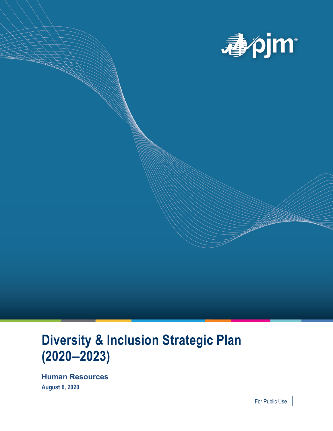

# **Diversity & Inclusion Strategic Plan (2020–2023)**

**Human Resources August 6, 2020**

For Public Use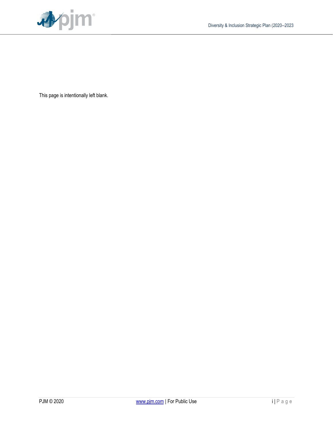

This page is intentionally left blank.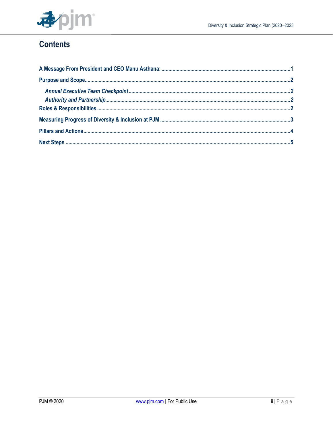

# **Contents**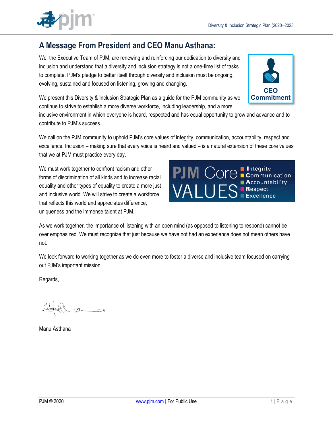

# <span id="page-3-0"></span>**A Message From President and CEO Manu Asthana:**

We, the Executive Team of PJM, are renewing and reinforcing our dedication to diversity and inclusion and understand that a diversity and inclusion strategy is not a one-time list of tasks to complete. PJM's pledge to better itself through diversity and inclusion must be ongoing, evolving, sustained and focused on listening, growing and changing.



We present this Diversity & Inclusion Strategic Plan as a guide for the PJM community as we continue to strive to establish a more diverse workforce, including leadership, and a more

inclusive environment in which everyone is heard, respected and has equal opportunity to grow and advance and to contribute to PJM's success.

We call on the PJM community to uphold PJM's core values of integrity, communication, accountability, respect and excellence. Inclusion – making sure that every voice is heard and valued – is a natural extension of these core values that we at PJM must practice every day.

We must work together to confront racism and other forms of discrimination of all kinds and to increase racial equality and other types of equality to create a more just and inclusive world. We will strive to create a workforce that reflects this world and appreciates difference, uniqueness and the immense talent at PJM.



As we work together, the importance of listening with an open mind (as opposed to listening to respond) cannot be over emphasized. We must recognize that just because we have not had an experience does not mean others have not.

We look forward to working together as we do even more to foster a diverse and inclusive team focused on carrying out PJM's important mission.

Regards,

Manu Asthana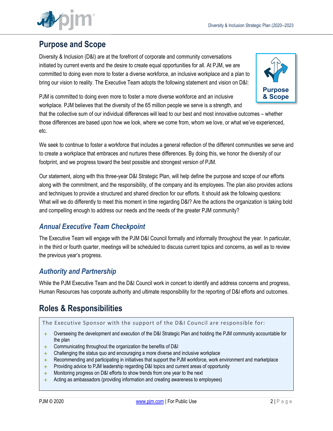

# <span id="page-4-0"></span>**Purpose and Scope**

Diversity & Inclusion (D&I) are at the forefront of corporate and community conversations initiated by current events and the desire to create equal opportunities for all. At PJM, we are committed to doing even more to foster a diverse workforce, an inclusive workplace and a plan to bring our vision to reality. The Executive Team adopts the following statement and vision on D&I:



PJM is committed to doing even more to foster a more diverse workforce and an inclusive workplace. PJM believes that the diversity of the 65 million people we serve is a strength, and

that the collective sum of our individual differences will lead to our best and most innovative outcomes – whether those differences are based upon how we look, where we come from, whom we love, or what we've experienced, etc.

We seek to continue to foster a workforce that includes a general reflection of the different communities we serve and to create a workplace that embraces and nurtures these differences. By doing this, we honor the diversity of our footprint, and we progress toward the best possible and strongest version of PJM.

Our statement, along with this three-year D&I Strategic Plan, will help define the purpose and scope of our efforts along with the commitment, and the responsibility, of the company and its employees. The plan also provides actions and techniques to provide a structured and shared direction for our efforts. It should ask the following questions: What will we do differently to meet this moment in time regarding D&I? Are the actions the organization is taking bold and compelling enough to address our needs and the needs of the greater PJM community?

### <span id="page-4-1"></span>*Annual Executive Team Checkpoint*

The Executive Team will engage with the PJM D&I Council formally and informally throughout the year. In particular, in the third or fourth quarter, meetings will be scheduled to discuss current topics and concerns, as well as to review the previous year's progress.

### <span id="page-4-2"></span>*Authority and Partnership*

While the PJM Executive Team and the D&I Council work in concert to identify and address concerns and progress, Human Resources has corporate authority and ultimate responsibility for the reporting of D&I efforts and outcomes.

# <span id="page-4-3"></span>**Roles & Responsibilities**

The Executive Sponsor with the support of the D&I Council are responsible for:

- + Overseeing the development and execution of the D&I Strategic Plan and holding the PJM community accountable for the plan
- + Communicating throughout the organization the benefits of D&I
- $+$  Challenging the status quo and encouraging a more diverse and inclusive workplace
- + Recommending and participating in initiatives that support the PJM workforce, work environment and marketplace
- + Providing advice to PJM leadership regarding D&I topics and current areas of opportunity
- + Monitoring progress on D&I efforts to show trends from one year to the next
- Acting as ambassadors (providing information and creating awareness to employees)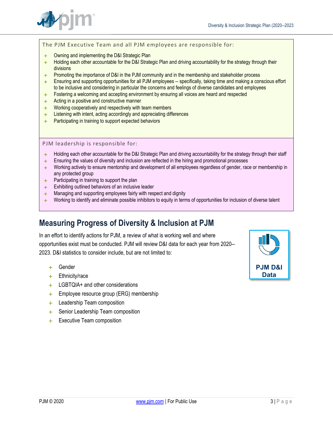

#### The PJM Executive Team and all PJM employees are responsible for:

- + Owning and implementing the D&I Strategic Plan
- + Holding each other accountable for the D&I Strategic Plan and driving accountability for the strategy through their divisions
- + Promoting the importance of D&I in the PJM community and in the membership and stakeholder process
- $+$  Ensuring and supporting opportunities for all PJM employees specifically, taking time and making a conscious effort to be inclusive and considering in particular the concerns and feelings of diverse candidates and employees
- + Fostering a welcoming and accepting environment by ensuring all voices are heard and respected
- + Acting in a positive and constructive manner
- + Working cooperatively and respectively with team members
- + Listening with intent, acting accordingly and appreciating differences
- + Participating in training to support expected behaviors

#### PJM leadership is responsible for:

- + Holding each other accountable for the D&I Strategic Plan and driving accountability for the strategy through their staff
- $+$  Ensuring the values of diversity and inclusion are reflected in the hiring and promotional processes
- + Working actively to ensure mentorship and development of all employees regardless of gender, race or membership in any protected group
- + Participating in training to support the plan
- $+$  Exhibiting outlined behaviors of an inclusive leader
- $+$  Managing and supporting employees fairly with respect and dignity
- + Working to identify and eliminate possible inhibitors to equity in terms of opportunities for inclusion of diverse talent

### <span id="page-5-0"></span>**Measuring Progress of Diversity & Inclusion at PJM**

In an effort to identify actions for PJM, a review of what is working well and where opportunities exist must be conducted. PJM will review D&I data for each year from 2020– 2023. D&I statistics to consider include, but are not limited to:

- + Gender
- + Ethnicity/race
- + LGBTQIA+ and other considerations
- + Employee resource group (ERG) membership
- + Leadership Team composition
- + Senior Leadership Team composition
- + Executive Team composition

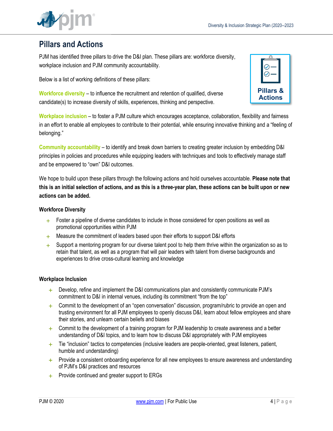

## <span id="page-6-0"></span>**Pillars and Actions**

PJM has identified three pillars to drive the D&I plan. These pillars are: workforce diversity, workplace inclusion and PJM community accountability.

Below is a list of working definitions of these pillars:

**Workforce diversity** – to influence the recruitment and retention of qualified, diverse candidate(s) to increase diversity of skills, experiences, thinking and perspective.

**Workplace inclusion** – to foster a PJM culture which encourages acceptance, collaboration, flexibility and fairness in an effort to enable all employees to contribute to their potential, while ensuring innovative thinking and a "feeling of belonging."

**Community accountability** – to identify and break down barriers to creating greater inclusion by embedding D&I principles in policies and procedures while equipping leaders with techniques and tools to effectively manage staff and be empowered to "own" D&I outcomes.

We hope to build upon these pillars through the following actions and hold ourselves accountable. **Please note that this is an initial selection of actions, and as this is a three-year plan, these actions can be built upon or new actions can be added.** 

#### **Workforce Diversity**

- $+$  Foster a pipeline of diverse candidates to include in those considered for open positions as well as promotional opportunities within PJM
- + Measure the commitment of leaders based upon their efforts to support D&I efforts
- $+$  Support a mentoring program for our diverse talent pool to help them thrive within the organization so as to retain that talent, as well as a program that will pair leaders with talent from diverse backgrounds and experiences to drive cross-cultural learning and knowledge

#### **Workplace Inclusion**

- $+$  Develop, refine and implement the D&I communications plan and consistently communicate PJM's commitment to D&I in internal venues, including its commitment "from the top"
- $+$  Commit to the development of an "open conversation" discussion, program/rubric to provide an open and trusting environment for all PJM employees to openly discuss D&I, learn about fellow employees and share their stories, and unlearn certain beliefs and biases
- $+$  Commit to the development of a training program for PJM leadership to create awareness and a better understanding of D&I topics, and to learn how to discuss D&I appropriately with PJM employees
- + Tie "inclusion" tactics to competencies (inclusive leaders are people-oriented, great listeners, patient, humble and understanding)
- $+$  Provide a consistent onboarding experience for all new employees to ensure awareness and understanding of PJM's D&I practices and resources
- + Provide continued and greater support to ERGs